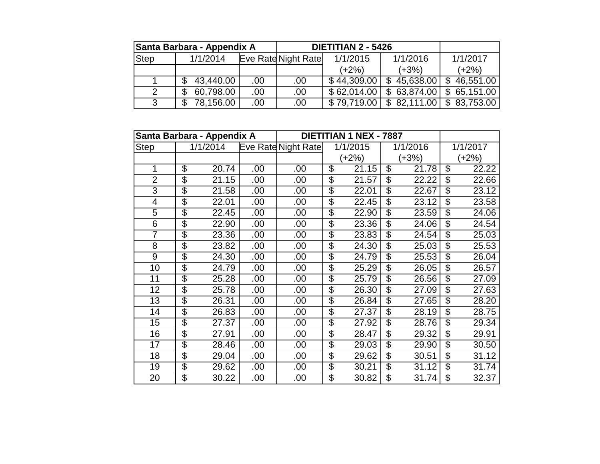|             | Santa Barbara - Appendix A |      |                            | <b>DIETITIAN 2 - 5426</b> |                   |                              |
|-------------|----------------------------|------|----------------------------|---------------------------|-------------------|------------------------------|
| <b>Step</b> | 1/1/2014                   |      | <b>Eve Rate Night Rate</b> | 1/1/2015                  | 1/1/2016          | 1/1/2017                     |
|             |                            |      |                            | $(+2%)$                   | $(+3%)$           | $(+2%)$                      |
|             | 43,440.00                  | .00. | .00                        | \$44,309.00               | $$45,638.00$ \ \$ | 46,551.00                    |
|             | 60,798.00<br>\$            | .00  | .00                        | \$62,014.00               |                   | $$63,874.00 \; $65,151.00$   |
| ว           | 78,156.00                  | .00  | .00                        | \$79,719.00               |                   | $$82,111.00 \mid $83,753.00$ |

|                 |                          | Santa Barbara - Appendix A |     |                     | <b>DIETITIAN 1 NEX - 7887</b> |                          |          |                          |          |
|-----------------|--------------------------|----------------------------|-----|---------------------|-------------------------------|--------------------------|----------|--------------------------|----------|
| <b>Step</b>     |                          | 1/1/2014                   |     | Eve Rate Night Rate | 1/1/2015                      |                          | 1/1/2016 |                          | 1/1/2017 |
|                 |                          |                            |     |                     | $(+2%)$                       |                          | $(+3%)$  | $(+2%)$                  |          |
| 1               | \$                       | 20.74                      | .00 | .00                 | \$<br>21.15                   | $\overline{\mathcal{S}}$ | 21.78    | $\overline{\mathcal{S}}$ | 22.22    |
| $\overline{2}$  | $\overline{\$}$          | 21.15                      | .00 | .00                 | \$<br>21.57                   | \$                       | 22.22    | \$                       | 22.66    |
| 3               | $\overline{\$}$          | 21.58                      | .00 | .00                 | \$<br>22.01                   | $\overline{\mathcal{S}}$ | 22.67    | $\overline{\mathcal{S}}$ | 23.12    |
| 4               | $\overline{\$}$          | 22.01                      | .00 | .00                 | \$<br>22.45                   | $\overline{\mathcal{S}}$ | 23.12    | $\overline{\mathcal{S}}$ | 23.58    |
| 5               | \$                       | 22.45                      | .00 | .00                 | \$<br>22.90                   | \$                       | 23.59    | \$                       | 24.06    |
| 6               | $\overline{\mathcal{S}}$ | 22.90                      | .00 | .00                 | \$<br>23.36                   | $\overline{\mathcal{G}}$ | 24.06    | $\overline{\mathcal{S}}$ | 24.54    |
| 7               | $\overline{\$}$          | 23.36                      | .00 | .00                 | \$<br>$23.\overline{83}$      | $\overline{\mathcal{S}}$ | 24.54    | $\overline{\mathcal{S}}$ | 25.03    |
| $\overline{8}$  | \$                       | 23.82                      | .00 | .00                 | \$<br>24.30                   | $\overline{\mathcal{S}}$ | 25.03    | $\overline{\mathcal{S}}$ | 25.53    |
| 9               | $\overline{\mathcal{S}}$ | 24.30                      | .00 | .00                 | \$<br>24.79                   | \$                       | 25.53    | \$                       | 26.04    |
| $\overline{10}$ | $\overline{\$}$          | 24.79                      | .00 | .00                 | \$<br>25.29                   | $\overline{\$}$          | 26.05    | $\overline{\$}$          | 26.57    |
| $\overline{11}$ | $\overline{\$}$          | 25.28                      | .00 | .00                 | \$<br>25.79                   | $\overline{\mathcal{S}}$ | 26.56    | $\overline{\mathcal{S}}$ | 27.09    |
| $\overline{12}$ | \$                       | 25.78                      | .00 | .00                 | \$<br>26.30                   | \$                       | 27.09    | $\overline{\mathcal{S}}$ | 27.63    |
| 13              | \$                       | 26.31                      | .00 | .00                 | \$<br>26.84                   | \$                       | 27.65    | \$                       | 28.20    |
| 14              | $\overline{\$}$          | 26.83                      | .00 | .00                 | \$<br>27.37                   | $\overline{\mathcal{S}}$ | 28.19    | $\overline{\mathcal{S}}$ | 28.75    |
| $\overline{15}$ | $\overline{\$}$          | 27.37                      | .00 | .00                 | \$<br>27.92                   | $\overline{\mathcal{S}}$ | 28.76    | $\overline{\mathcal{S}}$ | 29.34    |
| 16              | \$                       | 27.91                      | .00 | .00                 | \$<br>28.47                   | S                        | 29.32    | \$                       | 29.91    |
| 17              | \$                       | 28.46                      | .00 | .00                 | \$<br>29.03                   | \$                       | 29.90    | \$                       | 30.50    |
| $\overline{18}$ | $\overline{\$}$          | 29.04                      | .00 | .00                 | \$<br>29.62                   | $\overline{\$}$          | 30.51    | $\overline{\mathcal{S}}$ | 31.12    |
| $\overline{19}$ | $\overline{\$}$          | 29.62                      | .00 | .00                 | \$<br>30.21                   | $\overline{\$}$          | 31.12    | $\overline{\$}$          | 31.74    |
| 20              | \$                       | 30.22                      | .00 | .00                 | \$<br>30.82                   | \$                       | 31.74    | \$                       | 32.37    |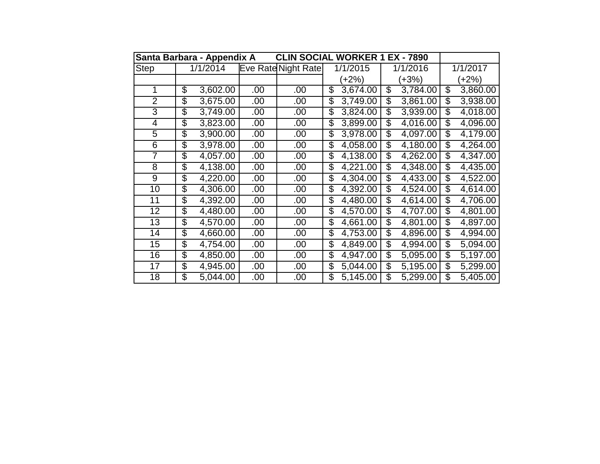| Santa Barbara - Appendix A | <b>CLIN SOCIAL WORKER 1 EX - 7890</b> |     |                     |                 |          |    |          |                |
|----------------------------|---------------------------------------|-----|---------------------|-----------------|----------|----|----------|----------------|
| <b>Step</b>                | 1/1/2014                              |     | Eve Rate Night Rate |                 | 1/1/2015 |    | 1/1/2016 | 1/1/2017       |
|                            |                                       |     |                     |                 | $(+2%)$  |    | $(+3%)$  | $(+2%)$        |
| 1                          | \$<br>3,602.00                        | .00 | .00                 | \$              | 3,674.00 | \$ | 3,784.00 | \$<br>3,860.00 |
| $\overline{2}$             | \$<br>3,675.00                        | .00 | .00                 | \$              | 3,749.00 | \$ | 3,861.00 | \$<br>3,938.00 |
| 3                          | \$<br>3,749.00                        | .00 | .00                 | \$              | 3,824.00 | \$ | 3,939.00 | \$<br>4,018.00 |
| 4                          | \$<br>3,823.00                        | .00 | .00                 | \$              | 3,899.00 | \$ | 4,016.00 | \$<br>4,096.00 |
| 5                          | \$<br>3,900.00                        | .00 | .00                 | \$              | 3,978.00 | \$ | 4,097.00 | \$<br>4,179.00 |
| 6                          | \$<br>3,978.00                        | .00 | .00.                | \$              | 4,058.00 | \$ | 4,180.00 | \$<br>4,264.00 |
| 7                          | \$<br>4,057.00                        | .00 | .00                 | \$              | 4,138.00 | \$ | 4,262.00 | \$<br>4,347.00 |
| 8                          | \$<br>4,138.00                        | .00 | .00                 | \$              | 4,221.00 | \$ | 4,348.00 | \$<br>4,435.00 |
| 9                          | \$<br>4,220.00                        | .00 | .00                 | \$              | 4,304.00 | \$ | 4,433.00 | \$<br>4,522.00 |
| 10                         | \$<br>4,306.00                        | .00 | .00.                | \$              | 4,392.00 | \$ | 4,524.00 | \$<br>4,614.00 |
| 11                         | \$<br>4,392.00                        | .00 | .00                 | \$              | 4,480.00 | \$ | 4,614.00 | \$<br>4,706.00 |
| 12                         | \$<br>4,480.00                        | .00 | .00                 | \$              | 4,570.00 | S  | 4,707.00 | \$<br>4,801.00 |
| 13                         | \$<br>4,570.00                        | .00 | .00                 | \$              | 4,661.00 | \$ | 4,801.00 | \$<br>4,897.00 |
| 14                         | \$<br>4,660.00                        | .00 | .00                 | \$              | 4,753.00 | \$ | 4,896.00 | \$<br>4,994.00 |
| 15                         | \$<br>4,754.00                        | .00 | .00                 | $\overline{\$}$ | 4,849.00 | \$ | 4,994.00 | \$<br>5,094.00 |
| 16                         | \$<br>4,850.00                        | .00 | .00                 | \$              | 4,947.00 | \$ | 5,095.00 | \$<br>5,197.00 |
| 17                         | \$<br>4,945.00                        | .00 | .00                 | \$              | 5,044.00 | \$ | 5,195.00 | \$<br>5,299.00 |
| 18                         | \$<br>5,044.00                        | .00 | .00                 | \$              | 5,145.00 | \$ | 5,299.00 | \$<br>5,405.00 |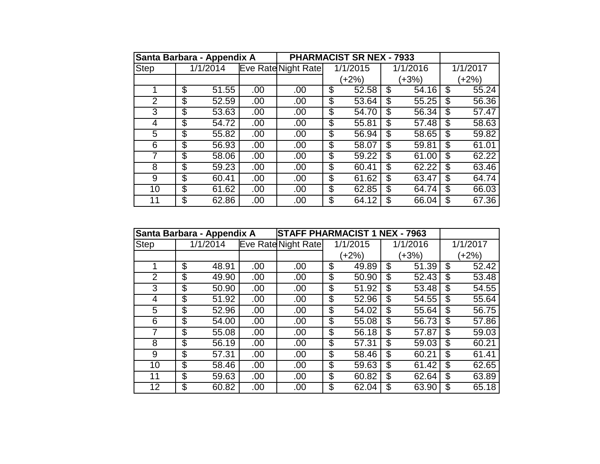|                | Santa Barbara - Appendix A |                       |     |                     |          | <b>PHARMACIST SR NEX - 7933</b> |             |             |
|----------------|----------------------------|-----------------------|-----|---------------------|----------|---------------------------------|-------------|-------------|
| <b>Step</b>    |                            | $\frac{1}{1}$ /1/2014 |     | Eve Rate Night Rate | 1/1/2015 |                                 | 1/1/2016    | 1/1/2017    |
|                |                            |                       |     |                     |          | $(+2%)$                         | $(+3%)$     | $(+2%)$     |
|                | \$                         | 51.55                 | .00 | .00                 | \$       | 52.58                           | \$<br>54.16 | \$<br>55.24 |
| $\overline{2}$ | \$                         | 52.59                 | .00 | .00                 | \$       | 53.64                           | \$<br>55.25 | \$<br>56.36 |
| 3              | \$                         | 53.63                 | .00 | .00                 | \$       | 54.70                           | \$<br>56.34 | \$<br>57.47 |
| 4              | \$                         | 54.72                 | .00 | .00                 | \$       | 55.81                           | \$<br>57.48 | \$<br>58.63 |
| 5              | $\overline{\$}$            | 55.82                 | .00 | .00                 | \$       | 56.94                           | \$<br>58.65 | \$<br>59.82 |
| 6              | \$                         | 56.93                 | .00 | .00                 | \$       | 58.07                           | \$<br>59.81 | \$<br>61.01 |
| 7              | \$                         | 58.06                 | .00 | .00                 | \$       | 59.22                           | \$<br>61.00 | \$<br>62.22 |
| 8              | \$                         | 59.23                 | .00 | .00                 | \$       | 60.41                           | \$<br>62.22 | \$<br>63.46 |
| 9              | \$                         | 60.41                 | .00 | .00                 | \$       | 61.62                           | \$<br>63.47 | \$<br>64.74 |
| 10             | \$                         | 61.62                 | .00 | .00                 | \$       | 62.85                           | \$<br>64.74 | \$<br>66.03 |
| 11             | \$                         | 62.86                 | .00 | .00                 | \$       | 64.12                           | \$<br>66.04 | \$<br>67.36 |

|             | Santa Barbara - Appendix A |      | <b>STAFF PHARMACIST 1 NEX - 7963</b> |                          |          |                |          |             |
|-------------|----------------------------|------|--------------------------------------|--------------------------|----------|----------------|----------|-------------|
| <b>Step</b> | 1/1/2014                   |      | Eve Rate Night Rate                  |                          | 1/1/2015 |                | 1/1/2016 | 1/1/2017    |
|             |                            |      |                                      | $(+2%)$                  |          | (+3%)          |          | $(+2%)$     |
|             | \$<br>48.91                | .00. | .00.                                 | \$                       | 49.89    | \$             | 51.39    | \$<br>52.42 |
| 2           | \$<br>49.90                | .00  | .00                                  | $\overline{\mathcal{G}}$ | 50.90    | \$             | 52.43    | \$<br>53.48 |
| 3           | \$<br>50.90                | .00  | .00.                                 | \$                       | 51.92    | \$             | 53.48    | \$<br>54.55 |
| 4           | \$<br>51.92                | .00  | .00.                                 | \$                       | 52.96    | \$             | 54.55    | \$<br>55.64 |
| 5           | \$<br>52.96                | .00  | .00                                  | \$                       | 54.02    | \$             | 55.64    | \$<br>56.75 |
| 6           | \$<br>54.00                | .00  | .00                                  | $\overline{\mathcal{G}}$ | 55.08    | \$             | 56.73    | \$<br>57.86 |
| 7           | \$<br>55.08                | .00  | .00                                  | \$                       | 56.18    | \$             | 57.87    | \$<br>59.03 |
| 8           | \$<br>56.19                | .00  | .00                                  | \$                       | 57.31    | \$             | 59.03    | \$<br>60.21 |
| 9           | \$<br>57.31                | .00. | .00.                                 | \$                       | 58.46    | \$             | 60.21    | \$<br>61.41 |
| 10          | \$<br>58.46                | .00  | .00.                                 | \$                       | 59.63    | \$             | 61.42    | \$<br>62.65 |
| 11          | \$<br>59.63                | .00  | .00                                  | \$                       | 60.82    | \$             | 62.64    | \$<br>63.89 |
| 12          | \$<br>60.82                | .00  | .00                                  | \$                       | 62.04    | $\mathfrak{L}$ | 63.90    | \$<br>65.18 |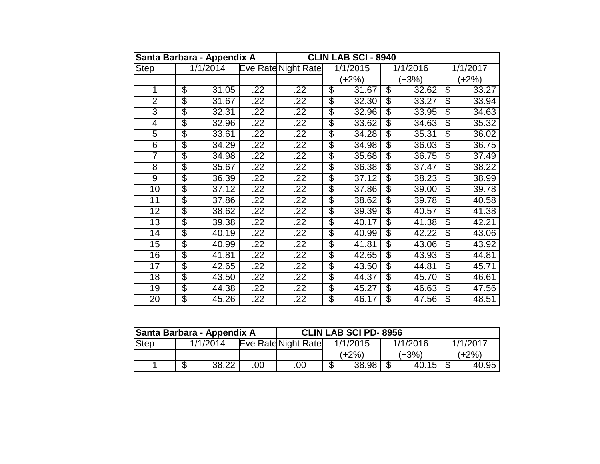|                 | Santa Barbara - Appendix A |                       |     |                     |                          | <b>CLIN LAB SCI - 8940</b> |                          |          |                          |          |
|-----------------|----------------------------|-----------------------|-----|---------------------|--------------------------|----------------------------|--------------------------|----------|--------------------------|----------|
| <b>Step</b>     |                            | $\frac{1}{1}$ /1/2014 |     | Eve Rate Night Rate |                          | 1/1/2015                   |                          | 1/1/2016 |                          | 1/1/2017 |
|                 |                            |                       |     |                     |                          | $(+2%)$                    |                          | $(+3%)$  | $(+2%)$                  |          |
| 1               | $\overline{\mathcal{G}}$   | 31.05                 | .22 | .22                 | \$                       | 31.67                      | \$                       | 32.62    | \$                       | 33.27    |
| $\overline{2}$  | \$                         | 31.67                 | .22 | .22                 | \$                       | 32.30                      | \$                       | 33.27    | \$                       | 33.94    |
| $\overline{3}$  | \$                         | 32.31                 | .22 | .22                 | $\overline{\$}$          | 32.96                      | \$                       | 33.95    | \$                       | 34.63    |
| 4               | \$                         | 32.96                 | .22 | .22                 | $\overline{\$}$          | 33.62                      | \$                       | 34.63    | \$                       | 35.32    |
| $\overline{5}$  | \$                         | 33.61                 | .22 | .22                 | \$                       | 34.28                      | \$                       | 35.31    | \$                       | 36.02    |
| 6               | \$                         | 34.29                 | .22 | .22                 | \$                       | 34.98                      | $\overline{\mathcal{S}}$ | 36.03    | $\overline{\mathcal{S}}$ | 36.75    |
| 7               | \$                         | 34.98                 | .22 | .22                 | \$                       | 35.68                      | \$                       | 36.75    | \$                       | 37.49    |
| $\overline{8}$  | \$                         | 35.67                 | .22 | .22                 | $\overline{\$}$          | 36.38                      | \$                       | 37.47    | $\overline{\mathcal{S}}$ | 38.22    |
| $\overline{9}$  | \$                         | 36.39                 | .22 | .22                 | \$                       | 37.12                      | \$                       | 38.23    | \$                       | 38.99    |
| 10              | \$                         | 37.12                 | .22 | .22                 | \$                       | 37.86                      | \$                       | 39.00    | \$                       | 39.78    |
| 11              | \$                         | 37.86                 | .22 | .22                 | \$                       | 38.62                      | \$                       | 39.78    | \$                       | 40.58    |
| $\overline{12}$ | $\overline{\$}$            | 38.62                 | .22 | .22                 | $\overline{\$}$          | 39.39                      | \$                       | 40.57    | $\overline{\$}$          | 41.38    |
| $\overline{13}$ | \$                         | 39.38                 | .22 | .22                 | $\overline{\mathcal{G}}$ | 40.17                      | $\overline{\mathcal{S}}$ | 41.38    | \$                       | 42.21    |
| $\overline{14}$ | \$                         | 40.19                 | .22 | .22                 | \$                       | 40.99                      | \$                       | 42.22    | \$                       | 43.06    |
| $\overline{15}$ | \$                         | 40.99                 | .22 | .22                 | \$                       | 41.81                      | \$                       | 43.06    | \$                       | 43.92    |
| $\overline{16}$ | \$                         | 41.81                 | .22 | .22                 | \$                       | 42.65                      | \$                       | 43.93    | \$                       | 44.81    |
| 17              | \$                         | 42.65                 | .22 | .22                 | $\overline{\mathcal{G}}$ | 43.50                      | \$                       | 44.81    | \$                       | 45.71    |
| $\overline{18}$ | \$                         | 43.50                 | .22 | .22                 | \$                       | 44.37                      | $\overline{\mathcal{S}}$ | 45.70    | \$                       | 46.61    |
| $\overline{19}$ | $\overline{\mathcal{G}}$   | 44.38                 | .22 | .22                 | \$                       | 45.27                      | \$                       | 46.63    | $\overline{\mathcal{S}}$ | 47.56    |
| 20              | \$                         | 45.26                 | .22 | .22                 | $\overline{\mathcal{G}}$ | 46.17                      | $\overline{\mathcal{S}}$ | 47.56    | $\overline{\mathcal{S}}$ | 48.51    |

| Santa Barbara - Appendix A |   |          |     |                            | <b>CLIN LAB SCI PD-8956</b> |          |  |          |  |          |
|----------------------------|---|----------|-----|----------------------------|-----------------------------|----------|--|----------|--|----------|
| <b>Step</b>                |   | 1/1/2014 |     | <b>Eve Rate Night Rate</b> |                             | 1/1/2015 |  | 1/1/2016 |  | 1/1/2017 |
|                            |   |          |     |                            |                             | (+2%)    |  | (+3%)    |  | (+2%)    |
|                            | J | 38.22    | .00 | .00                        |                             | 38.98    |  | 40.15    |  | 40.95    |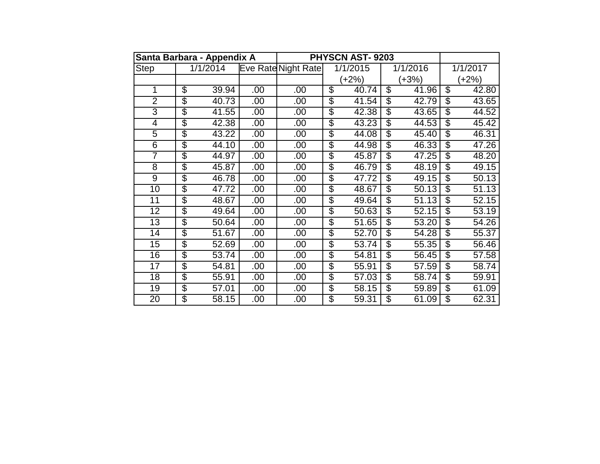| Santa Barbara - Appendix A |                                  |          |      |                     |                          | <b>PHYSCN AST-9203</b> |                          |          |                          |          |
|----------------------------|----------------------------------|----------|------|---------------------|--------------------------|------------------------|--------------------------|----------|--------------------------|----------|
| <b>Step</b>                |                                  | 1/1/2014 |      | Eve Rate Night Rate |                          | 1/1/2015               |                          | 1/1/2016 |                          | 1/1/2017 |
|                            |                                  |          |      |                     | (+2%)<br>(+3%)           |                        |                          | (+2%)    |                          |          |
| 1                          | $\overline{\$}$                  | 39.94    | .00  | .00                 | $\overline{\$}$          | 40.74                  | $\overline{\mathcal{S}}$ | 41.96    | $\overline{\mathcal{S}}$ | 42.80    |
| $\overline{2}$             | $\overline{\boldsymbol{\theta}}$ | 40.73    | .00  | .00                 | \$                       | 41.54                  | \$                       | 42.79    | \$                       | 43.65    |
| $\overline{3}$             | $\overline{\$}$                  | 41.55    | .00  | .00                 | $\overline{\$}$          | 42.38                  | $\overline{\mathcal{S}}$ | 43.65    | $\overline{\mathcal{S}}$ | 44.52    |
| $\overline{4}$             | $\overline{\$}$                  | 42.38    | .00  | .00                 | \$                       | 43.23                  | $\overline{\mathcal{S}}$ | 44.53    | $\overline{\mathcal{S}}$ | 45.42    |
| $\overline{5}$             | $\overline{\mathcal{S}}$         | 43.22    | .00  | .00                 | $\overline{\$}$          | 44.08                  | $\overline{\$}$          | 45.40    | $\overline{\mathcal{S}}$ | 46.31    |
| 6                          | $\overline{\$}$                  | 44.10    | .00  | .00                 | \$                       | 44.98                  | $\overline{\mathcal{S}}$ | 46.33    | $\overline{\mathcal{S}}$ | 47.26    |
| 7                          | $\overline{\$}$                  | 44.97    | .00  | .00                 | $\overline{\$}$          | 45.87                  | $\overline{\mathcal{S}}$ | 47.25    | \$                       | 48.20    |
| $\overline{8}$             | $\overline{\$}$                  | 45.87    | .00  | .00                 | \$                       | 46.79                  | S                        | 48.19    | $\overline{\mathcal{S}}$ | 49.15    |
| $\overline{9}$             | $\overline{\$}$                  | 46.78    | .00  | .00                 | \$                       | 47.72                  | $\overline{\mathbb{S}}$  | 49.15    | $\overline{\mathbb{S}}$  | 50.13    |
| 10                         | $\overline{\$}$                  | 47.72    | .00. | .00                 | $\overline{\$}$          | 48.67                  | S                        | 50.13    | $\overline{\mathcal{S}}$ | 51.13    |
| 11                         | $\overline{\mathcal{S}}$         | 48.67    | .00  | .00                 | $\overline{\$}$          | 49.64                  | $\overline{\mathbb{S}}$  | 51.13    | $\overline{\mathbb{S}}$  | 52.15    |
| 12                         | $\overline{\$}$                  | 49.64    | .00  | .00                 | $\overline{\mathcal{G}}$ | 50.63                  | S                        | 52.15    | S                        | 53.19    |
| 13                         | $\overline{\mathcal{S}}$         | 50.64    | .00  | .00                 | $\overline{\mathcal{G}}$ | 51.65                  | S                        | 53.20    | $\mathfrak{S}$           | 54.26    |
| $\overline{14}$            | $\overline{\$}$                  | 51.67    | .00  | .00                 | \$                       | 52.70                  | $\overline{\mathcal{S}}$ | 54.28    | $\overline{\mathcal{S}}$ | 55.37    |
| $\overline{15}$            | $\overline{\mathcal{S}}$         | 52.69    | .00. | .00                 | $\overline{\$}$          | 53.74                  | $\overline{\mathbb{S}}$  | 55.35    | $\overline{\mathcal{S}}$ | 56.46    |
| 16                         | $\overline{\$}$                  | 53.74    | .00. | .00                 | \$                       | 54.81                  | S                        | 56.45    | S                        | 57.58    |
| 17                         | $\overline{\mathcal{G}}$         | 54.81    | .00  | .00                 | $\overline{\mathcal{G}}$ | 55.91                  | $\mathcal{L}$            | 57.59    | \$                       | 58.74    |
| 18                         | $\overline{\mathcal{S}}$         | 55.91    | .00  | .00                 | \$                       | 57.03                  | $\overline{\mathcal{S}}$ | 58.74    | $\overline{\mathcal{S}}$ | 59.91    |
| 19                         | $\overline{\$}$                  | 57.01    | .00  | .00                 | $\overline{\$}$          | 58.15                  | $\overline{\$}$          | 59.89    | $\overline{\$}$          | 61.09    |
| 20                         | \$                               | 58.15    | .00. | .00                 | \$                       | 59.31                  | $\overline{\mathbb{S}}$  | 61.09    | S                        | 62.31    |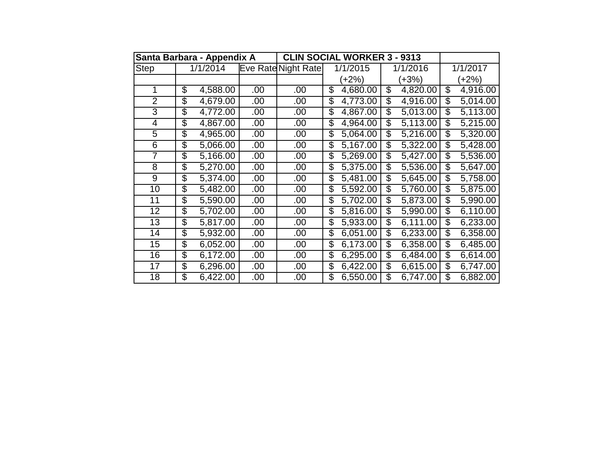|                 | Santa Barbara - Appendix A |          |      | <b>CLIN SOCIAL WORKER 3 - 9313</b> |    |                        |                          |          |    |          |
|-----------------|----------------------------|----------|------|------------------------------------|----|------------------------|--------------------------|----------|----|----------|
| <b>Step</b>     |                            | 1/1/2014 |      | Eve Rate Night Rate                |    | 1/1/2015               |                          | 1/1/2016 |    | 1/1/2017 |
|                 |                            |          |      |                                    |    | $(+2%)$                |                          | $(+3%)$  |    | $(+2%)$  |
| 1               | \$                         | 4,588.00 | .00  | .00                                | \$ | 4,680.00               | \$                       | 4,820.00 | \$ | 4,916.00 |
| $\overline{2}$  | \$                         | 4,679.00 | .00  | .00                                | \$ | 4,773.00               | \$                       | 4,916.00 | \$ | 5,014.00 |
| 3               | \$                         | 4,772.00 | .00  | .00                                | \$ | 4,867.00               | \$                       | 5,013.00 | \$ | 5,113.00 |
| 4               | \$                         | 4,867.00 | .00  | .00                                | \$ | 4,964.00               | \$                       | 5,113.00 | \$ | 5,215.00 |
| $\overline{5}$  | \$                         | 4,965.00 | .00  | .00                                | \$ | 5,064.00               | \$                       | 5,216.00 | \$ | 5,320.00 |
| 6               | \$                         | 5,066.00 | .00. | .00                                | \$ | 5,167.00               | \$                       | 5,322.00 | \$ | 5,428.00 |
| $\overline{7}$  | \$                         | 5,166.00 | .00  | .00                                | \$ | 5,269.00               | $\overline{\mathcal{S}}$ | 5,427.00 | \$ | 5,536.00 |
| 8               | \$                         | 5,270.00 | .00  | .00                                | \$ | 5,375.00               | \$                       | 5,536.00 | \$ | 5,647.00 |
| 9               | \$                         | 5,374.00 | .00  | .00                                | \$ | 5,481.00               | \$                       | 5,645.00 | \$ | 5,758.00 |
| 10              | \$                         | 5,482.00 | .00  | .00                                | \$ | 5,592.00               | \$                       | 5,760.00 | \$ | 5,875.00 |
| 11              | \$                         | 5,590.00 | .00  | .00                                | \$ | $\overline{5,70}$ 2.00 | \$                       | 5,873.00 | \$ | 5,990.00 |
| $\overline{12}$ | \$                         | 5,702.00 | .00  | .00                                | \$ | 5,816.00               | \$                       | 5,990.00 | \$ | 6,110.00 |
| 13              | \$                         | 5,817.00 | .00  | .00                                | \$ | 5,933.00               | \$                       | 6,111.00 | \$ | 6,233.00 |
| 14              | \$                         | 5,932.00 | .00  | .00                                | \$ | 6,051.00               | \$                       | 6,233.00 | \$ | 6,358.00 |
| 15              | $\overline{\mathcal{E}}$   | 6,052.00 | .00  | .00                                | \$ | 6,173.00               | \$                       | 6,358.00 | \$ | 6,485.00 |
| 16              | \$                         | 6,172.00 | .00  | .00                                | \$ | 6,295.00               | \$                       | 6,484.00 | \$ | 6,614.00 |
| 17              | \$                         | 6,296.00 | .00  | .00                                | \$ | 6,422.00               | \$                       | 6,615.00 | \$ | 6,747.00 |
| 18              | \$                         | 6,422.00 | .00  | .00                                | \$ | 6,550.00               | \$                       | 6,747.00 | \$ | 6,882.00 |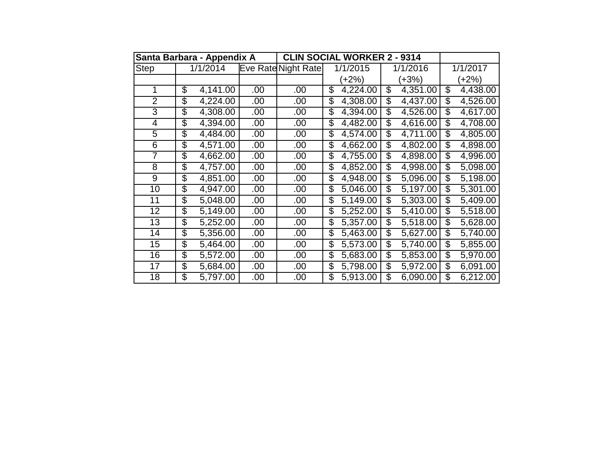|                 | Santa Barbara - Appendix A           |      |                     | <b>CLIN SOCIAL WORKER 2 - 9314</b> |                                      |                |  |  |  |
|-----------------|--------------------------------------|------|---------------------|------------------------------------|--------------------------------------|----------------|--|--|--|
| <b>Step</b>     | 1/1/2014                             |      | Eve Rate Night Rate | 1/1/2015                           | 1/1/2016                             | 1/1/2017       |  |  |  |
|                 |                                      |      |                     | $(+2%)$                            | $(+3%)$                              | $(+2%)$        |  |  |  |
| 1               | \$<br>4,141.00                       | .00  | .00                 | \$<br>4,224.00                     | $\overline{\mathcal{S}}$<br>4,351.00 | \$<br>4,438.00 |  |  |  |
| $\overline{2}$  | \$<br>4,224.00                       | .00  | .00                 | \$<br>4,308.00                     | \$<br>4,437.00                       | \$<br>4,526.00 |  |  |  |
| 3               | 4,308.00<br>\$                       | .00  | .00                 | \$<br>4,394.00                     | \$<br>4,526.00                       | \$<br>4,617.00 |  |  |  |
| 4               | \$<br>4,394.00                       | .00  | .00                 | \$<br>4,482.00                     | \$<br>4,616.00                       | \$<br>4,708.00 |  |  |  |
| $\overline{5}$  | \$<br>4,484.00                       | .00  | .00                 | \$<br>4,574.00                     | \$<br>4,711.00                       | \$<br>4,805.00 |  |  |  |
| 6               | \$<br>4,571.00                       | .00. | .00                 | \$<br>4,662.00                     | \$<br>$\sqrt{4,802.00}$              | \$<br>4,898.00 |  |  |  |
| $\overline{7}$  | \$<br>4,662.00                       | .00  | .00                 | $\overline{\$}$<br>4,755.00        | \$<br>4,898.00                       | 4,996.00<br>\$ |  |  |  |
| 8               | \$<br>4,757.00                       | .00  | .00                 | \$<br>4,852.00                     | \$<br>4,998.00                       | \$<br>5,098.00 |  |  |  |
| 9               | \$<br>4,851.00                       | .00  | .00                 | \$<br>4,948.00                     | \$<br>5,096.00                       | \$<br>5,198.00 |  |  |  |
| 10              | \$<br>4,947.00                       | .00  | .00                 | 5,046.00<br>\$                     | \$<br>5,197.00                       | \$<br>5,301.00 |  |  |  |
| 11              | \$<br>5,048.00                       | .00  | .00                 | \$<br>5,149.00                     | \$<br>5,303.00                       | \$<br>5,409.00 |  |  |  |
| $\overline{12}$ | \$<br>5,149.00                       | .00  | .00                 | \$<br>5,252.00                     | 5,410.00<br>\$                       | 5,518.00<br>\$ |  |  |  |
| 13              | \$<br>5,252.00                       | .00  | .00                 | \$<br>5,357.00                     | \$<br>5,518.00                       | \$<br>5,628.00 |  |  |  |
| 14              | \$<br>5,356.00                       | .00  | .00                 | \$<br>5,463.00                     | \$<br>5,627.00                       | \$<br>5,740.00 |  |  |  |
| 15              | $\overline{\mathcal{E}}$<br>5,464.00 | .00  | .00                 | \$<br>5,573.00                     | \$<br>5,740.00                       | \$<br>5,855.00 |  |  |  |
| 16              | \$<br>5,572.00                       | .00  | .00                 | 5,683.00<br>\$                     | \$<br>5,853.00                       | 5,970.00<br>\$ |  |  |  |
| 17              | \$<br>5,684.00                       | .00  | .00                 | \$<br>5,798.00                     | \$<br>5,972.00                       | \$<br>6,091.00 |  |  |  |
| 18              | \$<br>5,797.00                       | .00  | .00                 | 5,913.00<br>\$                     | \$<br>6,090.00                       | \$<br>6,212.00 |  |  |  |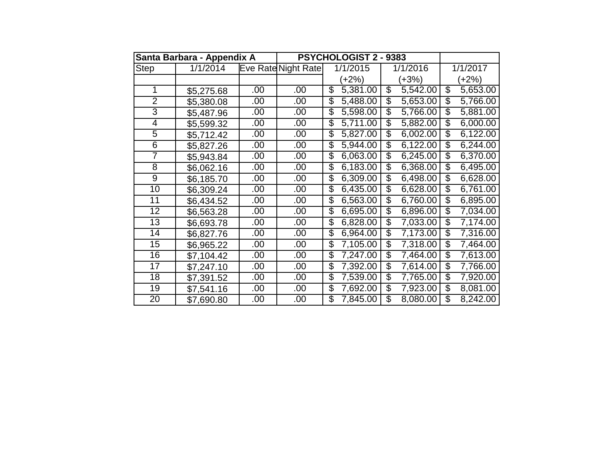|                 | Santa Barbara - Appendix A |     |                            | PSYCHOLOGIST 2 - 9383       |                                      |                                      |
|-----------------|----------------------------|-----|----------------------------|-----------------------------|--------------------------------------|--------------------------------------|
| <b>Step</b>     | 1/1/2014                   |     | <b>Eve Rate Night Rate</b> | 1/1/2015                    | 1/1/2016                             | 1/1/2017                             |
|                 |                            |     |                            | $(+2%)$                     | $(+3%)$                              | $(+2%)$                              |
| 1               | \$5,275.68                 | .00 | .00                        | \$<br>5,381.00              | $\overline{\mathcal{S}}$<br>5,542.00 | $\overline{\mathcal{S}}$<br>5,653.00 |
| $\overline{2}$  | \$5,380.08                 | .00 | .00                        | \$<br>5,488.00              | \$<br>5,653.00                       | \$<br>5,766.00                       |
| 3               | \$5,487.96                 | .00 | .00                        | \$<br>5,598.00              | $\overline{\mathcal{S}}$<br>5,766.00 | $\overline{\mathcal{G}}$<br>5,881.00 |
| 4               | \$5,599.32                 | .00 | .00                        | \$<br>5,711.00              | \$<br>5,882.00                       | \$<br>6,000.00                       |
| 5               | \$5,712.42                 | .00 | .00                        | 5,827.00<br>\$              | \$<br>6,002.00                       | \$<br>6,122.00                       |
| 6               | \$5,827.26                 | .00 | .00                        | \$<br>5,944.00              | \$<br>6,122.00                       | \$<br>6,244.00                       |
| 7               | \$5,943.84                 | .00 | .00                        | \$<br>6,063.00              | $\overline{\$}$<br>6,245.00          | $\overline{\$}$<br>6,370.00          |
| $\overline{8}$  | \$6,062.16                 | .00 | .00                        | \$<br>6,183.00              | \$<br>6,368.00                       | \$<br>6,495.00                       |
| $\overline{9}$  | \$6,185.70                 | .00 | .00                        | 6,309.00<br>\$              | \$<br>6,498.00                       | \$<br>6,628.00                       |
| 10              | \$6,309.24                 | .00 | .00                        | \$<br>6,435.00              | \$<br>6,628.00                       | $\overline{\mathcal{S}}$<br>6,761.00 |
| $\overline{11}$ | \$6,434.52                 | .00 | .00                        | $\overline{\$}$<br>6,563.00 | $\overline{\$}$<br>6,760.00          | $\overline{\$}$<br>6,895.00          |
| 12              | \$6,563.28                 | .00 | .00                        | \$<br>6,695.00              | $\overline{\mathbb{S}}$<br>6,896.00  | $\overline{\mathcal{S}}$<br>7,034.00 |
| 13              | \$6,693.78                 | .00 | .00                        | \$<br>6,828.00              | \$<br>7,033.00                       | \$<br>7,174.00                       |
| 14              | \$6,827.76                 | .00 | .00                        | \$<br>6,964.00              | \$<br>7,173.00                       | \$<br>7,316.00                       |
| 15              | \$6,965.22                 | .00 | .00                        | \$<br>7,105.00              | $\overline{\$}$<br>7,318.00          | $\overline{\mathcal{G}}$<br>7,464.00 |
| 16              | \$7,104.42                 | .00 | .00                        | \$<br>7,247.00              | $\overline{\mathcal{S}}$<br>7,464.00 | $\overline{\mathcal{G}}$<br>7,613.00 |
| 17              | \$7,247.10                 | .00 | .00                        | \$<br>7,392.00              | \$<br>7,614.00                       | \$<br>7,766.00                       |
| 18              | \$7,391.52                 | .00 | .00                        | \$<br>7,539.00              | $\overline{\mathcal{S}}$<br>7,765.00 | $\overline{\mathcal{S}}$<br>7,920.00 |
| $\overline{19}$ | \$7,541.16                 | .00 | .00                        | \$<br>7,692.00              | $\overline{\$}$<br>7,923.00          | $\overline{\mathcal{G}}$<br>8,081.00 |
| $\overline{20}$ | \$7,690.80                 | .00 | .00                        | \$<br>7,845.00              | $\overline{\mathcal{S}}$<br>8,080.00 | 8,242.00<br>\$                       |